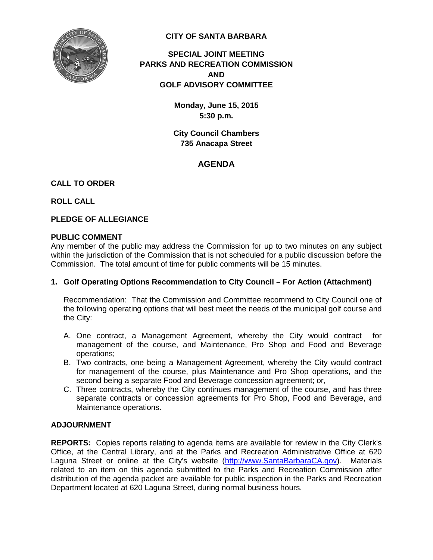

**CITY OF SANTA BARBARA**

# **SPECIAL JOINT MEETING PARKS AND RECREATION COMMISSION AND GOLF ADVISORY COMMITTEE**

**Monday, June 15, 2015 5:30 p.m.**

**City Council Chambers 735 Anacapa Street**

# **AGENDA**

## **CALL TO ORDER**

**ROLL CALL**

## **PLEDGE OF ALLEGIANCE**

#### **PUBLIC COMMENT**

Any member of the public may address the Commission for up to two minutes on any subject within the jurisdiction of the Commission that is not scheduled for a public discussion before the Commission. The total amount of time for public comments will be 15 minutes.

#### **1. Golf Operating Options Recommendation to City Council – For Action (Attachment)**

Recommendation: That the Commission and Committee recommend to City Council one of the following operating options that will best meet the needs of the municipal golf course and the City:

- A. One contract, a Management Agreement, whereby the City would contract for management of the course, and Maintenance, Pro Shop and Food and Beverage operations;
- B. Two contracts, one being a Management Agreement, whereby the City would contract for management of the course, plus Maintenance and Pro Shop operations, and the second being a separate Food and Beverage concession agreement; or,
- C. Three contracts, whereby the City continues management of the course, and has three separate contracts or concession agreements for Pro Shop, Food and Beverage, and Maintenance operations.

#### **ADJOURNMENT**

**REPORTS:** Copies reports relating to agenda items are available for review in the City Clerk's Office, at the Central Library, and at the Parks and Recreation Administrative Office at 620 Laguna Street or online at the City's website [\(http://www.SantaBarbaraCA.gov\)](http://www.santabarbaraca.gov/). Materials related to an item on this agenda submitted to the Parks and Recreation Commission after distribution of the agenda packet are available for public inspection in the Parks and Recreation Department located at 620 Laguna Street, during normal business hours.